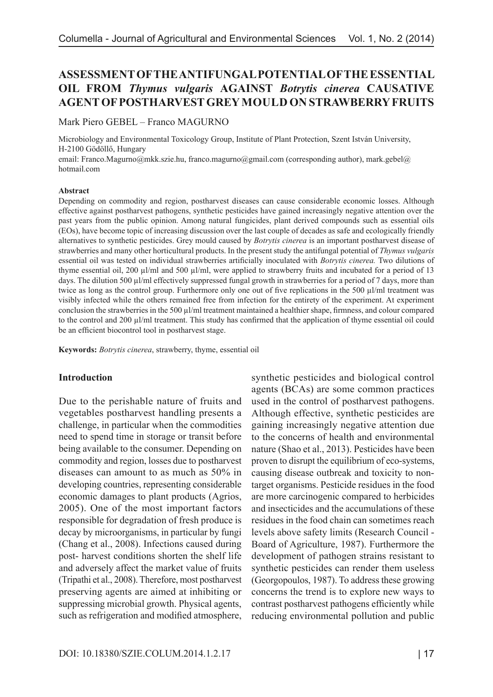# **ASSESSMENT OF THE ANTIFUNGAL POTENTIAL OF THE ESSENTIAL OIL FROM** *Thymus vulgaris* **AGAINST** *Botrytis cinerea* **CAUSATIVE AGENT OF POSTHARVEST GREY MOULD ON STRAWBERRY FRUITS**

Mark Piero GEBEL – Franco MAGURNO

Microbiology and Environmental Toxicology Group, Institute of Plant Protection, Szent István University, H-2100 Gödöllő, Hungary

email: Franco.Magurno@mkk.szie.hu, franco.magurno@gmail.com (corresponding author), mark.gebel@ hotmail.com

#### **Abstract**

Depending on commodity and region, postharvest diseases can cause considerable economic losses. Although effective against postharvest pathogens, synthetic pesticides have gained increasingly negative attention over the past years from the public opinion. Among natural fungicides, plant derived compounds such as essential oils (EOs), have become topic of increasing discussion over the last couple of decades as safe and ecologically friendly alternatives to synthetic pesticides. Grey mould caused by *Botrytis cinerea* is an important postharvest disease of strawberries and many other horticultural products. In the present study the antifungal potential of *Thymus vulgaris* essential oil was tested on individual strawberries artificially inoculated with *Botrytis cinerea.* Two dilutions of thyme essential oil, 200 µl/ml and 500 µl/ml, were applied to strawberry fruits and incubated for a period of 13 days. The dilution 500 µl/ml effectively suppressed fungal growth in strawberries for a period of 7 days, more than twice as long as the control group. Furthermore only one out of five replications in the 500 µl/ml treatment was visibly infected while the others remained free from infection for the entirety of the experiment. At experiment conclusion the strawberries in the 500 µl/ml treatment maintained a healthier shape, firmness, and colour compared to the control and 200 µl/ml treatment. This study has confirmed that the application of thyme essential oil could be an efficient biocontrol tool in postharvest stage.

**Keywords:** *Botrytis cinerea*, strawberry, thyme, essential oil

#### **Introduction**

Due to the perishable nature of fruits and vegetables postharvest handling presents a challenge, in particular when the commodities need to spend time in storage or transit before being available to the consumer. Depending on commodity and region, losses due to postharvest diseases can amount to as much as 50% in developing countries, representing considerable economic damages to plant products (Agrios, 2005). One of the most important factors responsible for degradation of fresh produce is decay by microorganisms, in particular by fungi (Chang et al., 2008). Infections caused during post- harvest conditions shorten the shelf life and adversely affect the market value of fruits (Tripathi et al., 2008). Therefore, most postharvest preserving agents are aimed at inhibiting or suppressing microbial growth. Physical agents, such as refrigeration and modified atmosphere,

synthetic pesticides and biological control agents (BCAs) are some common practices used in the control of postharvest pathogens. Although effective, synthetic pesticides are gaining increasingly negative attention due to the concerns of health and environmental nature (Shao et al., 2013). Pesticides have been proven to disrupt the equilibrium of eco-systems, causing disease outbreak and toxicity to nontarget organisms. Pesticide residues in the food are more carcinogenic compared to herbicides and insecticides and the accumulations of these residues in the food chain can sometimes reach levels above safety limits (Research Council - Board of Agriculture, 1987). Furthermore the development of pathogen strains resistant to synthetic pesticides can render them useless (Georgopoulos, 1987). To address these growing concerns the trend is to explore new ways to contrast postharvest pathogens efficiently while reducing environmental pollution and public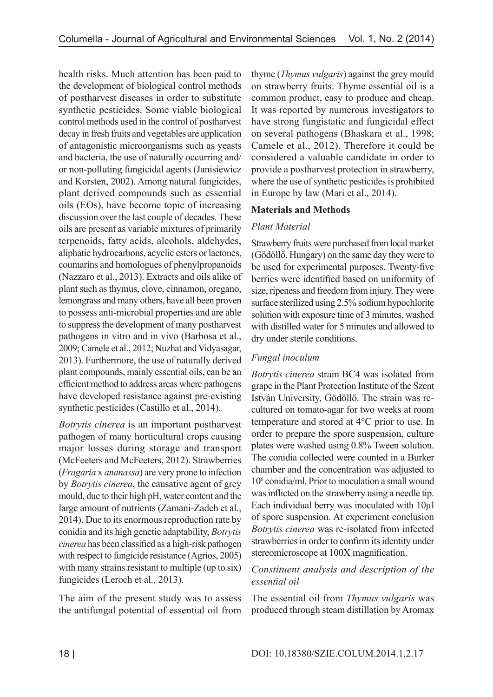health risks. Much attention has been paid to the development of biological control methods of postharvest diseases in order to substitute synthetic pesticides. Some viable biological control methods used in the control of postharvest decay in fresh fruits and vegetables are application of antagonistic microorganisms such as yeasts and bacteria, the use of naturally occurring and/ or non-polluting fungicidal agents (Janisiewicz and Korsten, 2002). Among natural fungicides, plant derived compounds such as essential oils (EOs), have become topic of increasing discussion over the last couple of decades. These oils are present as variable mixtures of primarily terpenoids, fatty acids, alcohols, aldehydes, aliphatic hydrocarbons, acyclic esters or lactones, coumarins and homologues of phenylpropanoids (Nazzaro et al., 2013). Extracts and oils alike of plant such as thymus, clove, cinnamon, oregano, lemongrass and many others, have all been proven to possess anti-microbial properties and are able to suppress the development of many postharvest pathogens in vitro and in vivo (Barbosa et al., 2009; Camele et al., 2012; Nuzhat and Vidyasagar, 2013). Furthermore, the use of naturally derived plant compounds, mainly essential oils, can be an efficient method to address areas where pathogens have developed resistance against pre-existing synthetic pesticides (Castillo et al., 2014).

*Botrytis cinerea* is an important postharvest pathogen of many horticultural crops causing major losses during storage and transport (McFeeters and McFeeters, 2012). Strawberries (*Fragaria* x *ananassa*) are very prone to infection by *Botrytis cinerea*, the causative agent of grey mould, due to their high pH, water content and the large amount of nutrients (Zamani-Zadeh et al., 2014). Due to its enormous reproduction rate by conidia and its high genetic adaptability, *Botrytis cinerea* has been classified as a high-risk pathogen with respect to fungicide resistance (Agrios, 2005) with many strains resistant to multiple (up to six) fungicides (Leroch et al., 2013).

The aim of the present study was to assess the antifungal potential of essential oil from thyme (*Thymus vulgaris*) against the grey mould on strawberry fruits. Thyme essential oil is a common product, easy to produce and cheap. It was reported by numerous investigators to have strong fungistatic and fungicidal effect on several pathogens (Bhaskara et al., 1998; Camele et al., 2012). Therefore it could be considered a valuable candidate in order to provide a postharvest protection in strawberry, where the use of synthetic pesticides is prohibited in Europe by law (Mari et al., 2014).

### **Materials and Methods**

### *Plant Material*

Strawberry fruits were purchased from local market (Gödöllő, Hungary) on the same day they were to be used for experimental purposes. Twenty-five berries were identified based on uniformity of size, ripeness and freedom from injury. They were surface sterilized using 2.5% sodium hypochlorite solution with exposure time of 3 minutes, washed with distilled water for 5 minutes and allowed to dry under sterile conditions.

### *Fungal inoculum*

*Botrytis cinerea* strain BC4 was isolated from grape in the Plant Protection Institute of the Szent István University, Gödöllő. The strain was recultured on tomato-agar for two weeks at room temperature and stored at 4°C prior to use. In order to prepare the spore suspension, culture plates were washed using 0.8% Tween solution. The conidia collected were counted in a Burker chamber and the concentration was adjusted to 106 conidia/ml. Prior to inoculation a small wound was inflicted on the strawberry using a needle tip. Each individual berry was inoculated with 10µl of spore suspension. At experiment conclusion *Botrytis cinerea* was re-isolated from infected strawberries in order to confirm its identity under stereomicroscope at 100X magnification.

### *Constituent analysis and description of the essential oil*

The essential oil from *Thymus vulgaris* was produced through steam distillation by Aromax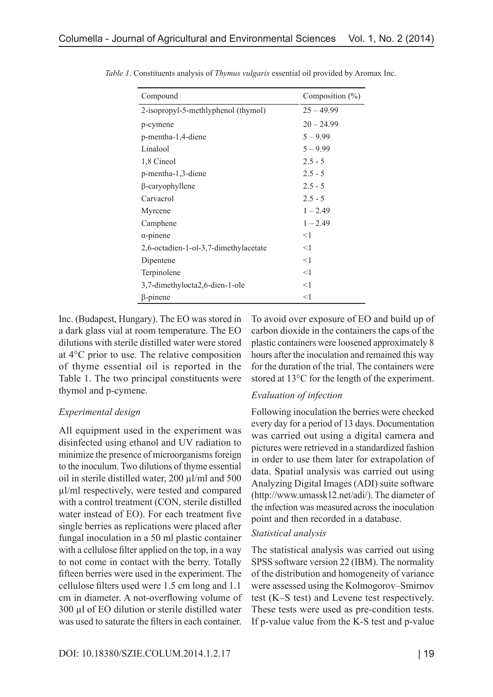| Compound                              | Composition $(\%)$ |
|---------------------------------------|--------------------|
| 2-isopropyl-5-methlyphenol (thymol)   | $25 - 49.99$       |
| p-cymene                              | $20 - 24.99$       |
| p-mentha-1,4-diene                    | $5 - 9.99$         |
| Linalool                              | $5 - 9.99$         |
| 1,8 Cineol                            | $2.5 - 5$          |
| p-mentha-1,3-diene                    | $2.5 - 5$          |
| $\beta$ -caryophyllene                | $2.5 - 5$          |
| Carvacrol                             | $2.5 - 5$          |
| Myrcene                               | $1 - 2.49$         |
| Camphene                              | $1 - 2.49$         |
| $\alpha$ -pinene                      | $<$ 1              |
| 2,6-octadien-1-ol-3,7-dimethylacetate | $\leq$ 1           |
| Dipentene                             | $\leq$ 1           |
| Terpinolene                           | <1                 |
| 3,7-dimethylocta2,6-dien-1-ole        | $<$ 1              |
| $\beta$ -pinene                       | $<$ 1              |

*Table 1*. Constituents analysis of *Thymus vulgaris* essential oil provided by Aromax Inc.

Inc. (Budapest, Hungary). The EO was stored in a dark glass vial at room temperature. The EO dilutions with sterile distilled water were stored at 4°C prior to use. The relative composition of thyme essential oil is reported in the Table 1. The two principal constituents were thymol and p-cymene.

#### *Experimental design*

All equipment used in the experiment was disinfected using ethanol and UV radiation to minimize the presence of microorganisms foreign to the inoculum. Two dilutions of thyme essential oil in sterile distilled water, 200 µl/ml and 500 µl/ml respectively, were tested and compared with a control treatment (CON, sterile distilled water instead of EO). For each treatment five single berries as replications were placed after fungal inoculation in a 50 ml plastic container with a cellulose filter applied on the top, in a way to not come in contact with the berry. Totally fifteen berries were used in the experiment. The cellulose filters used were 1.5 cm long and 1.1 cm in diameter. A not-overflowing volume of 300 µl of EO dilution or sterile distilled water was used to saturate the filters in each container.

To avoid over exposure of EO and build up of carbon dioxide in the containers the caps of the plastic containers were loosened approximately 8 hours after the inoculation and remained this way for the duration of the trial. The containers were stored at 13°C for the length of the experiment.

### *Evaluation of infection*

Following inoculation the berries were checked every day for a period of 13 days. Documentation was carried out using a digital camera and pictures were retrieved in a standardized fashion in order to use them later for extrapolation of data. Spatial analysis was carried out using Analyzing Digital Images (ADI) suite software (http://www.umassk12.net/adi/). The diameter of the infection was measured across the inoculation point and then recorded in a database.

#### *Statistical analysis*

The statistical analysis was carried out using SPSS software version 22 (IBM). The normality of the distribution and homogeneity of variance were assessed using the Kolmogorov–Smirnov test (K–S test) and Levene test respectively. These tests were used as pre-condition tests. If p-value value from the K-S test and p-value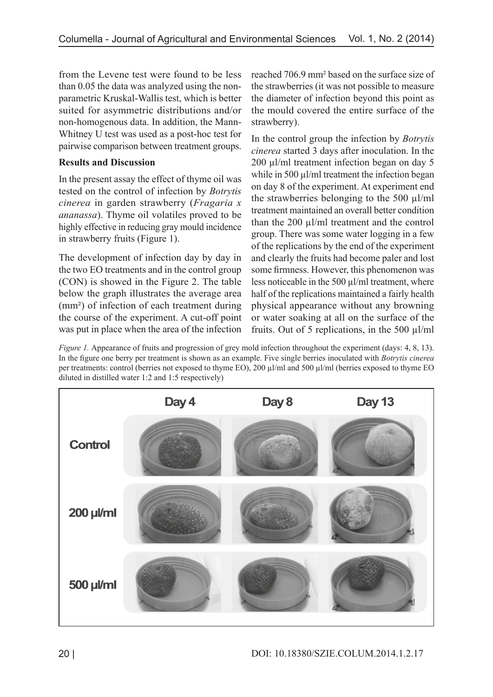from the Levene test were found to be less than 0.05 the data was analyzed using the nonparametric Kruskal-Wallis test, which is better suited for asymmetric distributions and/or non-homogenous data. In addition, the Mann-Whitney U test was used as a post-hoc test for pairwise comparison between treatment groups.

## **Results and Discussion**

In the present assay the effect of thyme oil was tested on the control of infection by *Botrytis cinerea* in garden strawberry (*Fragaria x ananassa*). Thyme oil volatiles proved to be highly effective in reducing gray mould incidence in strawberry fruits (Figure 1).

The development of infection day by day in the two EO treatments and in the control group (CON) is showed in the Figure 2. The table below the graph illustrates the average area (mm²) of infection of each treatment during the course of the experiment. A cut-off point was put in place when the area of the infection reached 706.9 mm² based on the surface size of the strawberries (it was not possible to measure the diameter of infection beyond this point as the mould covered the entire surface of the strawberry).

In the control group the infection by *Botrytis cinerea* started 3 days after inoculation. In the 200 µl/ml treatment infection began on day 5 while in 500  $\mu$ l/ml treatment the infection began on day 8 of the experiment. At experiment end the strawberries belonging to the 500  $\mu$ l/ml treatment maintained an overall better condition than the 200 µl/ml treatment and the control group. There was some water logging in a few of the replications by the end of the experiment and clearly the fruits had become paler and lost some firmness. However, this phenomenon was less noticeable in the 500  $\mu$ l/ml treatment, where half of the replications maintained a fairly health physical appearance without any browning or water soaking at all on the surface of the fruits. Out of 5 replications, in the 500  $\mu$ l/ml

*Figure 1.* Appearance of fruits and progression of grey mold infection throughout the experiment (days: 4, 8, 13). In the figure one berry per treatment is shown as an example. Five single berries inoculated with *Botrytis cinerea* per treatments: control (berries not exposed to thyme EO), 200 µl/ml and 500 µl/ml (berries exposed to thyme EO diluted in distilled water 1:2 and 1:5 respectively)

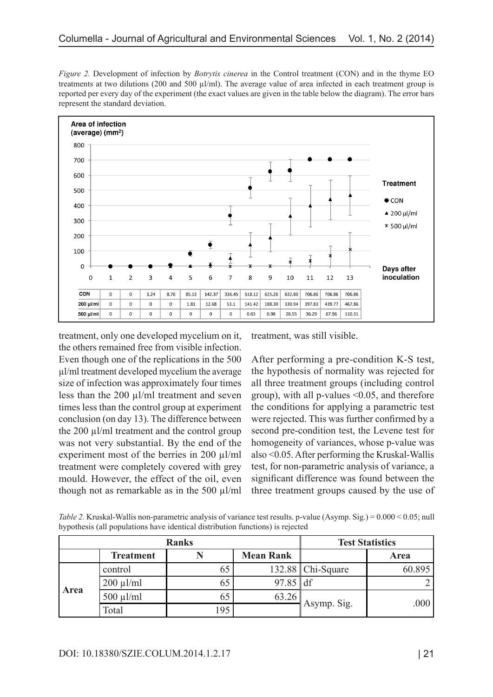*Figure 2.* Development of infection by *Botrytis cinerea* in the Control treatment (CON) and in the thyme EO treatments at two dilutions (200 and 500 µl/ml). The average value of area infected in each treatment group is reported per every day of the experiment (the exact values are given in the table below the diagram). The error bars represent the standard deviation.



treatment, only one developed mycelium on it, the others remained free from visible infection. Even though one of the replications in the 500 µl/ml treatment developed mycelium the average size of infection was approximately four times less than the  $200 \mu l/ml$  treatment and seven times less than the control group at experiment conclusion (on day 13). The difference between the 200  $\mu$ l/ml treatment and the control group was not very substantial. By the end of the experiment most of the berries in 200 µl/ml treatment were completely covered with grey mould. However, the effect of the oil, even though not as remarkable as in the 500  $\mu$ l/ml treatment, was still visible.

After performing a pre-condition K-S test, the hypothesis of normality was rejected for all three treatment groups (including control group), with all p-values <0.05, and therefore the conditions for applying a parametric test were rejected. This was further confirmed by a second pre-condition test, the Levene test for homogeneity of variances, whose p-value was also <0.05. After performing the Kruskal-Wallis test, for non-parametric analysis of variance, a significant difference was found between the three treatment groups caused by the use of

| Table 2. Kruskal-Wallis non-parametric analysis of variance test results. p-value (Asymp. Sig.) = 0.000 < 0.05; null |  |
|----------------------------------------------------------------------------------------------------------------------|--|
| hypothesis (all populations have identical distribution functions) is rejected                                       |  |

| <b>Ranks</b> |                  |     |                  | <b>Test Statistics</b> |             |
|--------------|------------------|-----|------------------|------------------------|-------------|
|              | <b>Treatment</b> |     | <b>Mean Rank</b> |                        | <b>Area</b> |
| <b>Area</b>  | control          |     |                  | 132.88   Chi-Square    | 60.895      |
|              | $200 \mu l/ml$   |     | $97.85$ df       |                        |             |
|              | $500 \mu l/ml$   |     | 63.26            |                        |             |
|              | Total            | 195 |                  | Asymp. Sig.            | .000        |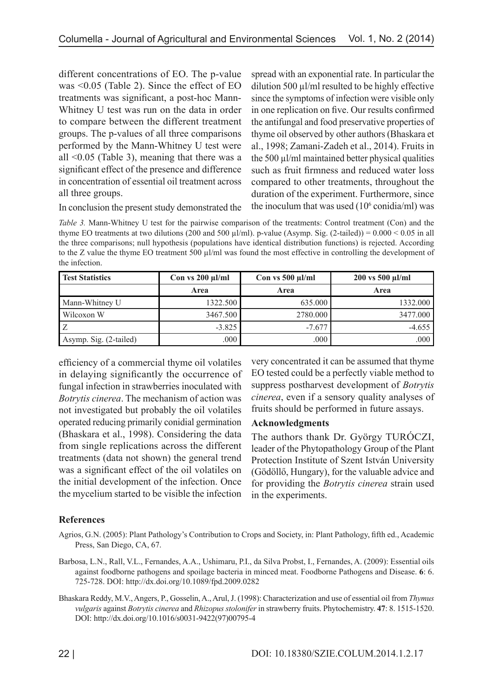different concentrations of EO. The p-value was <0.05 (Table 2). Since the effect of EO treatments was significant, a post-hoc Mann-Whitney U test was run on the data in order to compare between the different treatment groups. The p-values of all three comparisons performed by the Mann-Whitney U test were all <0.05 (Table 3), meaning that there was a significant effect of the presence and difference in concentration of essential oil treatment across all three groups.

spread with an exponential rate. In particular the dilution 500  $\mu$ l/ml resulted to be highly effective since the symptoms of infection were visible only in one replication on five. Our results confirmed the antifungal and food preservative properties of thyme oil observed by other authors (Bhaskara et al., 1998; Zamani-Zadeh et al., 2014). Fruits in the 500 µl/ml maintained better physical qualities such as fruit firmness and reduced water loss compared to other treatments, throughout the duration of the experiment. Furthermore, since the inoculum that was used  $(10<sup>6</sup> \text{condia/ml})$  was

In conclusion the present study demonstrated the

*Table 3.* Mann-Whitney U test for the pairwise comparison of the treatments: Control treatment (Con) and the thyme EO treatments at two dilutions (200 and 500  $\mu$ l/ml). p-value (Asymp. Sig. (2-tailed)) = 0.000 < 0.05 in all the three comparisons; null hypothesis (populations have identical distribution functions) is rejected. According to the Z value the thyme EO treatment 500  $\mu$ l/ml was found the most effective in controlling the development of the infection.

| <b>Test Statistics</b> | Con vs $200 \mu$ l/ml | Con vs $500 \mu$ l/ml | 200 vs 500 µl/ml |  |
|------------------------|-----------------------|-----------------------|------------------|--|
|                        | Area                  | Area                  | Area             |  |
| Mann-Whitney U         | 1322.500              | 635.000               | 1332.000         |  |
| Wilcoxon W             | 3467.500              | 2780.000              | 3477.000         |  |
|                        | $-3.825$              | $-7.677$              | $-4.655$         |  |
| Asymp. Sig. (2-tailed) | .000                  | .000                  | .000             |  |

efficiency of a commercial thyme oil volatiles in delaying significantly the occurrence of fungal infection in strawberries inoculated with *Botrytis cinerea*. The mechanism of action was not investigated but probably the oil volatiles operated reducing primarily conidial germination (Bhaskara et al., 1998). Considering the data from single replications across the different treatments (data not shown) the general trend was a significant effect of the oil volatiles on the initial development of the infection. Once the mycelium started to be visible the infection

very concentrated it can be assumed that thyme EO tested could be a perfectly viable method to suppress postharvest development of *Botrytis cinerea*, even if a sensory quality analyses of fruits should be performed in future assays.

### **Acknowledgments**

The authors thank Dr. György TURÓCZI, leader of the Phytopathology Group of the Plant Protection Institute of Szent István University (Gödöllő, Hungary), for the valuable advice and for providing the *Botrytis cinerea* strain used in the experiments.

### **References**

- Agrios, G.N. (2005): Plant Pathology's Contribution to Crops and Society, in: Plant Pathology, fifth ed., Academic Press, San Diego, CA, 67.
- Barbosa, L.N., Rall, V.L., Fernandes, A.A., Ushimaru, P.I., da Silva Probst, I., Fernandes, A. (2009): Essential oils against foodborne pathogens and spoilage bacteria in minced meat. Foodborne Pathogens and Disease. **6**: 6. 725-728. DOI: http://dx.doi.org/10.1089/fpd.2009.0282
- Bhaskara Reddy, M.V., Angers, P., Gosselin, A., Arul, J. (1998): Characterization and use of essential oil from *Thymus vulgaris* against *Botrytis cinerea* and *Rhizopus stolonifer* in strawberry fruits. Phytochemistry. **47**: 8. 1515-1520. DOI: http://dx.doi.org/10.1016/s0031-9422(97)00795-4